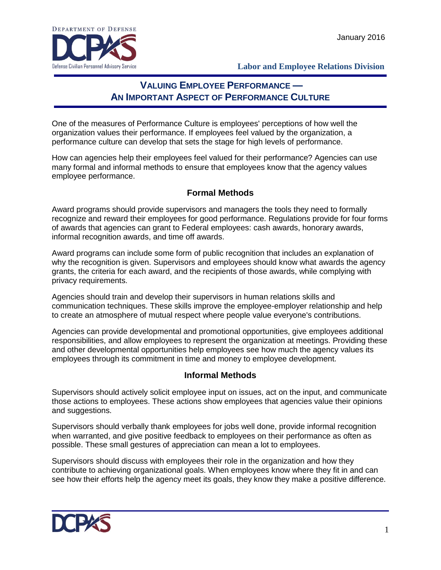

## **VALUING EMPLOYEE PERFORMANCE — AN IMPORTANT ASPECT OF PERFORMANCE CULTURE**

One of the measures of Performance Culture is employees' perceptions of how well the organization values their performance. If employees feel valued by the organization, a performance culture can develop that sets the stage for high levels of performance.

How can agencies help their employees feel valued for their performance? Agencies can use many formal and informal methods to ensure that employees know that the agency values employee performance.

## **Formal Methods**

Award programs should provide supervisors and managers the tools they need to formally recognize and reward their employees for good performance. Regulations provide for four forms of awards that agencies can grant to Federal employees: cash awards, honorary awards, informal recognition awards, and time off awards.

Award programs can include some form of public recognition that includes an explanation of why the recognition is given. Supervisors and employees should know what awards the agency grants, the criteria for each award, and the recipients of those awards, while complying with privacy requirements.

Agencies should train and develop their supervisors in human relations skills and communication techniques. These skills improve the employee-employer relationship and help to create an atmosphere of mutual respect where people value everyone's contributions.

Agencies can provide developmental and promotional opportunities, give employees additional responsibilities, and allow employees to represent the organization at meetings. Providing these and other developmental opportunities help employees see how much the agency values its employees through its commitment in time and money to employee development.

## **Informal Methods**

Supervisors should actively solicit employee input on issues, act on the input, and communicate those actions to employees. These actions show employees that agencies value their opinions and suggestions.

Supervisors should verbally thank employees for jobs well done, provide informal recognition when warranted, and give positive feedback to employees on their performance as often as possible. These small gestures of appreciation can mean a lot to employees.

Supervisors should discuss with employees their role in the organization and how they contribute to achieving organizational goals. When employees know where they fit in and can see how their efforts help the agency meet its goals, they know they make a positive difference.